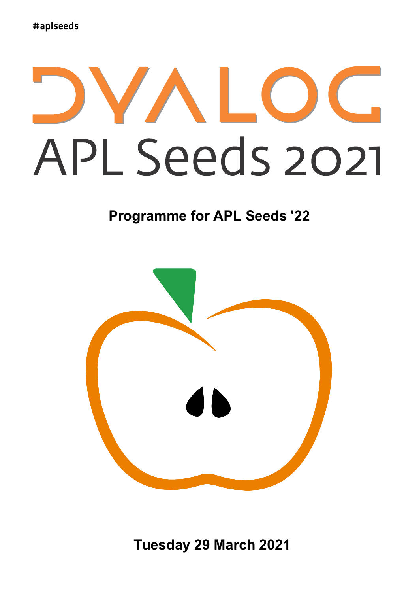# APL Seeds 2021

### **Programme for APL Seeds '22**



**Tuesday 29 March 2021**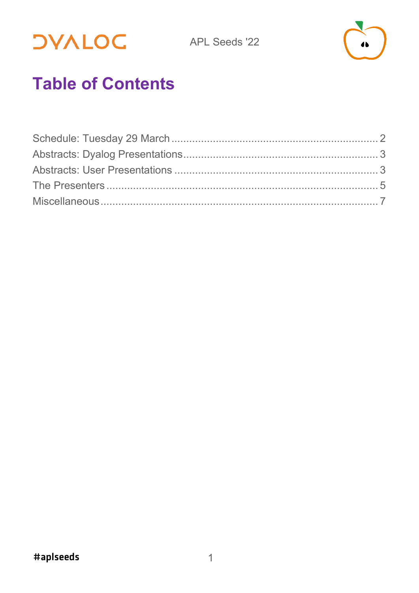**DVALOC** 



# **Table of Contents**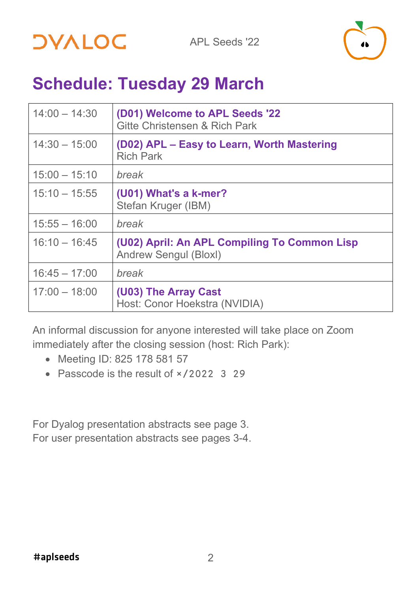



## <span id="page-2-0"></span>**Schedule: Tuesday 29 March**

| $14:00 - 14:30$ | (D01) Welcome to APL Seeds '22<br><b>Gitte Christensen &amp; Rich Park</b>   |
|-----------------|------------------------------------------------------------------------------|
| $14:30 - 15:00$ | (D02) APL - Easy to Learn, Worth Mastering<br><b>Rich Park</b>               |
| $15:00 - 15:10$ | break                                                                        |
| $15:10 - 15:55$ | (U01) What's a k-mer?<br>Stefan Kruger (IBM)                                 |
| $15:55 - 16:00$ | break                                                                        |
| $16:10 - 16:45$ | (U02) April: An APL Compiling To Common Lisp<br><b>Andrew Sengul (Bloxl)</b> |
| $16:45 - 17:00$ | break                                                                        |
| $17:00 - 18:00$ | (U03) The Array Cast<br>Host: Conor Hoekstra (NVIDIA)                        |

An informal discussion for anyone interested will take place on Zoom immediately after the closing session (host: Rich Park):

- Meeting ID: 825 178 581 57
- Passcode is the result of  $\times$  /2022 3 29

<span id="page-2-1"></span>For Dyalog presentation abstracts see page [3.](#page-2-1) For user presentation abstracts see pages [3-](#page-2-1)4.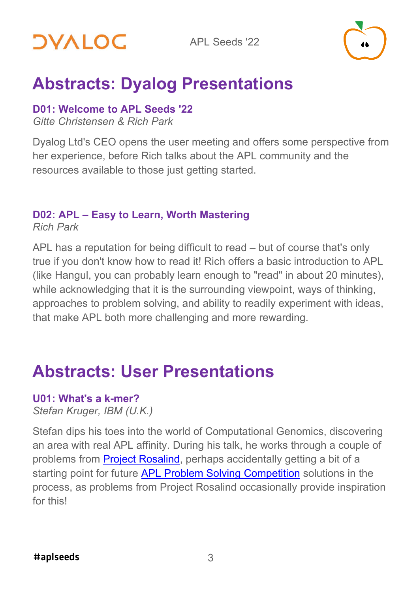

# <span id="page-3-0"></span>**Abstracts: Dyalog Presentations**

#### **D01: Welcome to APL Seeds '22**

*Gitte Christensen & Rich Park*

Dyalog Ltd's CEO opens the user meeting and offers some perspective from her experience, before Rich talks about the APL community and the resources available to those just getting started.

#### **D02: APL – Easy to Learn, Worth Mastering**

*Rich Park*

APL has a reputation for being difficult to read – but of course that's only true if you don't know how to read it! Rich offers a basic introduction to APL (like Hangul, you can probably learn enough to "read" in about 20 minutes), while acknowledging that it is the surrounding viewpoint, ways of thinking, approaches to problem solving, and ability to readily experiment with ideas, that make APL both more challenging and more rewarding.

# <span id="page-3-1"></span>**Abstracts: User Presentations**

#### **U01: What's a k-mer?**

*Stefan Kruger, IBM (U.K.)*

Stefan dips his toes into the world of Computational Genomics, discovering an area with real APL affinity. During his talk, he works through a couple of problems from [Project Rosalind,](https://rosalind.info/) perhaps accidentally getting a bit of a starting point for future [APL Problem Solving Competition](https://www.dyalog.com/student-competition.htm) solutions in the process, as problems from Project Rosalind occasionally provide inspiration for this!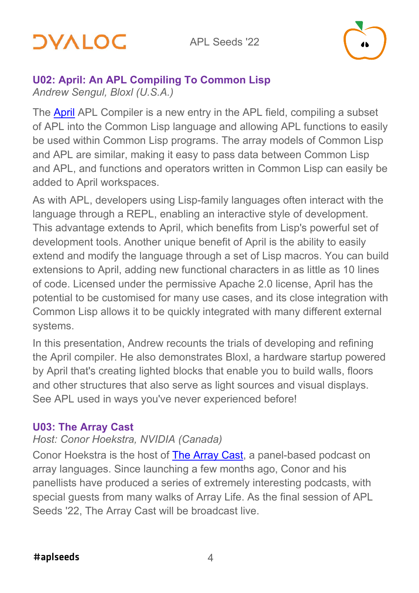# *OVALOC*



#### **U02: April: An APL Compiling To Common Lisp**

*Andrew Sengul, Bloxl (U.S.A.)*

The [April](https://github.com/phantomics/april/) APL Compiler is a new entry in the APL field, compiling a subset of APL into the Common Lisp language and allowing APL functions to easily be used within Common Lisp programs. The array models of Common Lisp and APL are similar, making it easy to pass data between Common Lisp and APL, and functions and operators written in Common Lisp can easily be added to April workspaces.

As with APL, developers using Lisp-family languages often interact with the language through a REPL, enabling an interactive style of development. This advantage extends to April, which benefits from Lisp's powerful set of development tools. Another unique benefit of April is the ability to easily extend and modify the language through a set of Lisp macros. You can build extensions to April, adding new functional characters in as little as 10 lines of code. Licensed under the permissive Apache 2.0 license, April has the potential to be customised for many use cases, and its close integration with Common Lisp allows it to be quickly integrated with many different external systems.

In this presentation, Andrew recounts the trials of developing and refining the April compiler. He also demonstrates Bloxl, a hardware startup powered by April that's creating lighted blocks that enable you to build walls, floors and other structures that also serve as light sources and visual displays. See APL used in ways you've never experienced before!

#### **U03: The Array Cast**

#### *Host: Conor Hoekstra, NVIDIA (Canada)*

Conor Hoekstra is the host of [The Array Cast,](https://www.arraycast.com/) a panel-based podcast on array languages. Since launching a few months ago, Conor and his panellists have produced a series of extremely interesting podcasts, with special guests from many walks of Array Life. As the final session of APL Seeds '22, The Array Cast will be broadcast live.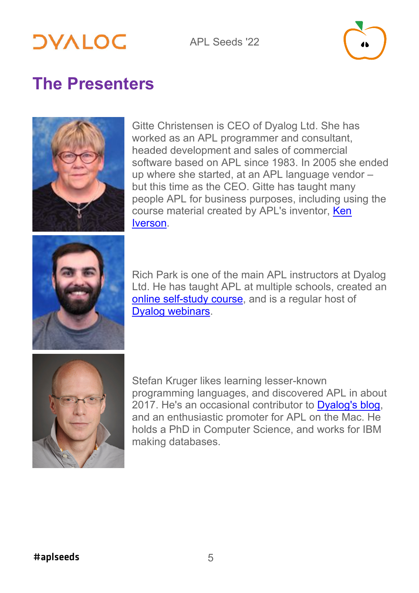#### APL Seeds '22



## <span id="page-5-0"></span>**The Presenters**



Gitte Christensen is CEO of Dyalog Ltd. She has worked as an APL programmer and consultant, headed development and sales of commercial software based on APL since 1983. In 2005 she ended up where she started, at an APL language vendor – but this time as the CEO. Gitte has taught many people APL for business purposes, including using the course material created by APL's inventor, [Ken](https://aplwiki.com/wiki/Ken_Iverson)  [Iverson.](https://aplwiki.com/wiki/Ken_Iverson)



Rich Park is one of the main APL instructors at Dyalog Ltd. He has taught APL at multiple schools, created an [online self-study course,](http://course.dyalog.com/) and is a regular host of [Dyalog webinars.](https://dyalog.tv/Webinar/)



Stefan Kruger likes learning lesser-known programming languages, and discovered APL in about 2017. He's an occasional contributor to [Dyalog's blog,](https://www.dyalog.com/blog/) and an enthusiastic promoter for APL on the Mac. He holds a PhD in Computer Science, and works for IBM making databases.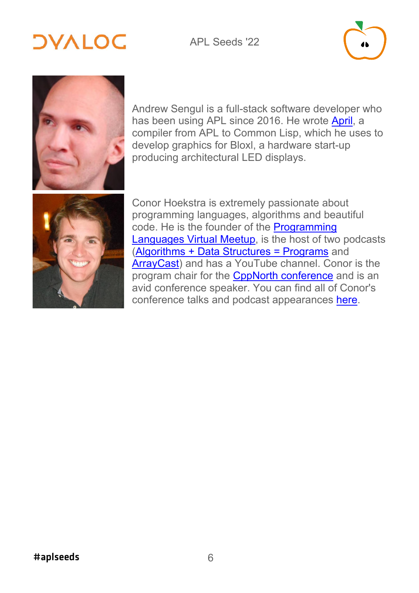#### APL Seeds '22

# **DYALOC**



Andrew Sengul is a full-stack software developer who has been using APL since 2016. He wrote [April,](https://github.com/phantomics/april/) a compiler from APL to Common Lisp, which he uses to develop graphics for Bloxl, a hardware start-up producing architectural LED displays.



Conor Hoekstra is extremely passionate about programming languages, algorithms and beautiful code. He is the founder of the [Programming](https://www.meetup.com/Programming-Languages-Toronto-Meetup/?_cookie-check=_NNdoiVTOdbqRVCi)  [Languages Virtual Meetup,](https://www.meetup.com/Programming-Languages-Toronto-Meetup/?_cookie-check=_NNdoiVTOdbqRVCi) is the host of two podcasts [\(Algorithms + Data Structures = Programs](https://adspthepodcast.com/) and [ArrayCast\)](https://www.arraycast.com/) and has a YouTube channel. Conor is the program chair for the [CppNorth conference](https://cppnorth.ca/) and is an avid conference speaker. You can find all of Conor's conference talks and podcast appearances [here.](https://github.com/codereport/Talks/blob/master/README.md)